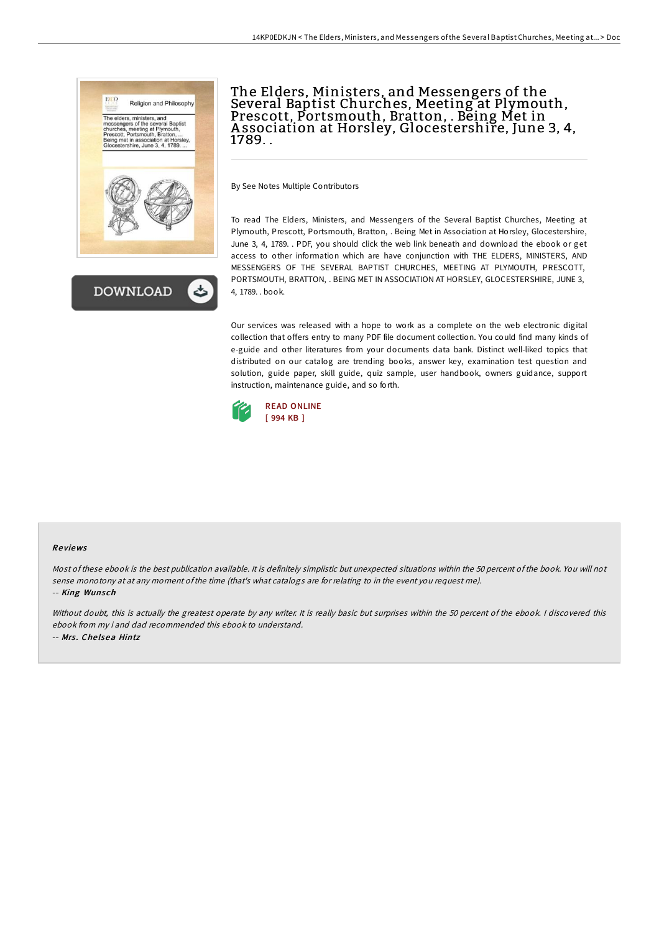

# The Elders, Ministers, and Messengers of the Several Baptist Churches, Meeting at Plymouth, Prescott, Portsmouth, Bratton, . Being Met in A ssociation at Horsley, Glocestershire, June 3, 4, 1789. .

By See Notes Multiple Contributors

To read The Elders, Ministers, and Messengers of the Several Baptist Churches, Meeting at Plymouth, Prescott, Portsmouth, Bratton, . Being Met in Association at Horsley, Glocestershire, June 3, 4, 1789. . PDF, you should click the web link beneath and download the ebook or get access to other information which are have conjunction with THE ELDERS, MINISTERS, AND MESSENGERS OF THE SEVERAL BAPTIST CHURCHES, MEETING AT PLYMOUTH, PRESCOTT, PORTSMOUTH, BRATTON, . BEING MET IN ASSOCIATION AT HORSLEY, GLOCESTERSHIRE, JUNE 3, 4, 1789. . book.

Our services was released with a hope to work as a complete on the web electronic digital collection that offers entry to many PDF file document collection. You could find many kinds of e-guide and other literatures from your documents data bank. Distinct well-liked topics that distributed on our catalog are trending books, answer key, examination test question and solution, guide paper, skill guide, quiz sample, user handbook, owners guidance, support instruction, maintenance guide, and so forth.



#### Re views

Most of these ebook is the best publication available. It is definitely simplistic but unexpected situations within the 50 percent of the book. You will not sense monotony at at any moment ofthe time (that's what catalogs are for relating to in the event you request me).

-- King Wunsch

Without doubt, this is actually the greatest operate by any writer. It is really basic but surprises within the 50 percent of the ebook. <sup>I</sup> discovered this ebook from my i and dad recommended this ebook to understand. -- Mrs. Chelsea Hintz